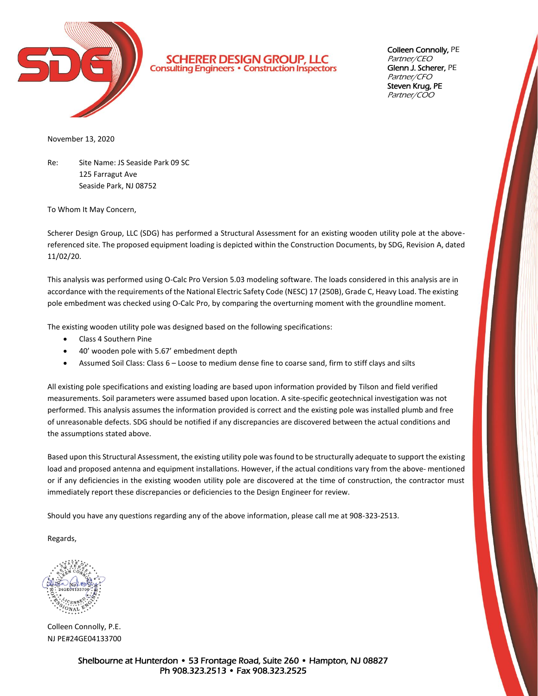

**SCHERER DESIGN GROUP, LLC**<br>Consulting Engineers · Construction Inspectors

Colleen Connolly, PE Partner/CEO Glenn J. Scherer, PE Partner/CFO Steven Krug, PE Partner/COO

November 13, 2020

Re: Site Name: JS Seaside Park 09 SC 125 Farragut Ave Seaside Park, NJ 08752

To Whom It May Concern,

Scherer Design Group, LLC (SDG) has performed a Structural Assessment for an existing wooden utility pole at the abovereferenced site. The proposed equipment loading is depicted within the Construction Documents, by SDG, Revision A, dated 11/02/20.

This analysis was performed using O-Calc Pro Version 5.03 modeling software. The loads considered in this analysis are in accordance with the requirements of the National Electric Safety Code (NESC) 17 (250B), Grade C, Heavy Load. The existing pole embedment was checked using O-Calc Pro, by comparing the overturning moment with the groundline moment.

The existing wooden utility pole was designed based on the following specifications:

- Class 4 Southern Pine
- 40' wooden pole with 5.67' embedment depth
- Assumed Soil Class: Class 6 Loose to medium dense fine to coarse sand, firm to stiff clays and silts

All existing pole specifications and existing loading are based upon information provided by Tilson and field verified measurements. Soil parameters were assumed based upon location. A site-specific geotechnical investigation was not performed. This analysis assumes the information provided is correct and the existing pole was installed plumb and free of unreasonable defects. SDG should be notified if any discrepancies are discovered between the actual conditions and the assumptions stated above.

Based upon this Structural Assessment, the existing utility pole was found to be structurally adequate to support the existing load and proposed antenna and equipment installations. However, if the actual conditions vary from the above- mentioned or if any deficiencies in the existing wooden utility pole are discovered at the time of construction, the contractor must immediately report these discrepancies or deficiencies to the Design Engineer for review.

Should you have any questions regarding any of the above information, please call me at 908-323-2513.

Regards,

Colleen Connolly, P.E. NJ PE#24GE04133700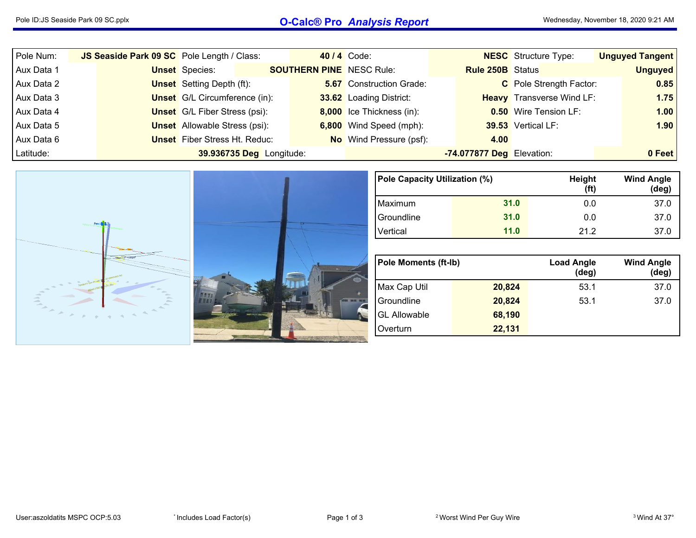## Pole ID:JS Seaside Park <sup>09</sup> SC.pplx **O-Calc® Pro** *Analysis Report* Wednesday, November 18, <sup>2020</sup> 9:21 AM

| Pole Num:  | JS Seaside Park 09 SC Pole Length / Class: |                                      |                          |                                 | 40 / 4 Code:                    |                           | <b>NESC</b> Structure Type:      | <b>Unguyed Tangent</b> |
|------------|--------------------------------------------|--------------------------------------|--------------------------|---------------------------------|---------------------------------|---------------------------|----------------------------------|------------------------|
| Aux Data 1 |                                            | <b>Unset</b> Species:                |                          | <b>SOUTHERN PINE</b> NESC Rule: |                                 | <b>Rule 250B</b> Status   |                                  | <b>Unguyed</b>         |
| Aux Data 2 |                                            | <b>Unset</b> Setting Depth (ft):     |                          |                                 | <b>5.67</b> Construction Grade: |                           | C Pole Strength Factor:          | 0.85                   |
| Aux Data 3 |                                            | <b>Unset</b> G/L Circumference (in): |                          |                                 | 33.62 Loading District:         |                           | <b>Heavy</b> Transverse Wind LF: | 1.75                   |
| Aux Data 4 |                                            | <b>Unset</b> G/L Fiber Stress (psi): |                          |                                 | 8,000 Ice Thickness (in):       |                           | <b>0.50</b> Wire Tension LF:     | 1.00                   |
| Aux Data 5 |                                            | <b>Unset</b> Allowable Stress (psi): |                          |                                 | 6,800 Wind Speed (mph):         |                           | 39.53 Vertical LF:               | 1.90                   |
| Aux Data 6 |                                            | <b>Unset</b> Fiber Stress Ht. Reduc: |                          |                                 | <b>No</b> Wind Pressure (psf):  | 4.00                      |                                  |                        |
| Latitude:  |                                            |                                      | 39.936735 Deg Longitude: |                                 |                                 | -74.077877 Deg Elevation: |                                  | 0 Feet                 |



| Pole Capacity Utilization (%) |      | Height<br>(f <sup>t</sup> ) | <b>Wind Angle</b><br>$(\text{deg})$ |
|-------------------------------|------|-----------------------------|-------------------------------------|
| Maximum                       | 31.0 | 0.0                         | 37.0                                |
| Groundline                    | 31.0 | 0.0                         | 37.0                                |
| Vertical                      | 11.0 | 21.2                        | 37.0                                |

| <b>Pole Moments (ft-Ib)</b> |        | <b>Load Angle</b><br>$(\deg)$ | <b>Wind Angle</b><br>(deg) |
|-----------------------------|--------|-------------------------------|----------------------------|
| Max Cap Util                | 20,824 | 53.1                          | 37.0                       |
| Groundline                  | 20,824 | 53.1                          | 37.0                       |
| <b>GL Allowable</b>         | 68,190 |                               |                            |
| Overturn                    | 22,131 |                               |                            |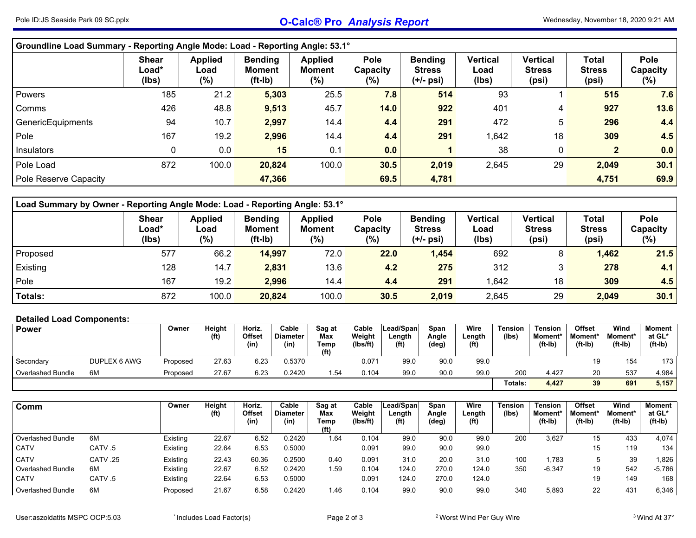| Groundline Load Summary - Reporting Angle Mode: Load - Reporting Angle: 53.1° |                                |                                   |                                       |                                           |                                    |                                              |                                  |                                           |                                 |                                   |  |  |  |  |
|-------------------------------------------------------------------------------|--------------------------------|-----------------------------------|---------------------------------------|-------------------------------------------|------------------------------------|----------------------------------------------|----------------------------------|-------------------------------------------|---------------------------------|-----------------------------------|--|--|--|--|
|                                                                               | <b>Shear</b><br>Load*<br>(Ibs) | <b>Applied</b><br>Load<br>$(\% )$ | <b>Bending</b><br>Moment<br>$(ft-lb)$ | <b>Applied</b><br><b>Moment</b><br>$(\%)$ | <b>Pole</b><br>Capacity<br>$(\% )$ | <b>Bending</b><br><b>Stress</b><br>(+/- psi) | <b>Vertical</b><br>Load<br>(lbs) | <b>Vertical</b><br><b>Stress</b><br>(psi) | Total<br><b>Stress</b><br>(psi) | <b>Pole</b><br>Capacity<br>$(\%)$ |  |  |  |  |
| Powers                                                                        | 185                            | 21.2                              | 5,303                                 | 25.5                                      | 7.8                                | 514                                          | 93                               |                                           | 515                             | 7.6                               |  |  |  |  |
| Comms                                                                         | 426                            | 48.8                              | 9,513                                 | 45.7                                      | 14.0                               | 922                                          | 401                              | 4                                         | 927                             | 13.6                              |  |  |  |  |
| GenericEquipments                                                             | 94                             | 10.7                              | 2,997                                 | 14.4                                      | 4.4                                | 291                                          | 472                              | 5                                         | 296                             | 4.4                               |  |  |  |  |
| Pole                                                                          | 167                            | 19.2                              | 2,996                                 | 14.4                                      | 4.4                                | 291                                          | 1,642                            | 18                                        | 309                             | 4.5                               |  |  |  |  |
| Insulators                                                                    | 0                              | 0.0                               | 15                                    | 0.1                                       | 0.0                                |                                              | 38                               | $\mathbf 0$                               | $\overline{2}$                  | 0.0                               |  |  |  |  |
| Pole Load                                                                     | 872                            | 100.0                             | 20,824                                | 100.0                                     | 30.5                               | 2,019                                        | 2,645                            | 29                                        | 2,049                           | 30.1                              |  |  |  |  |
| Pole Reserve Capacity                                                         |                                |                                   | 47,366                                |                                           | 69.5                               | 4,781                                        |                                  |                                           | 4,751                           | 69.9                              |  |  |  |  |

| Load Summary by Owner - Reporting Angle Mode: Load - Reporting Angle: 53.1° |                                |                                  |                                              |                                    |                                |                                                |                           |                                    |                                        |                            |  |  |  |  |
|-----------------------------------------------------------------------------|--------------------------------|----------------------------------|----------------------------------------------|------------------------------------|--------------------------------|------------------------------------------------|---------------------------|------------------------------------|----------------------------------------|----------------------------|--|--|--|--|
|                                                                             | <b>Shear</b><br>Load*<br>(lbs) | <b>Applied</b><br>Load<br>$(\%)$ | <b>Bending</b><br><b>Moment</b><br>$(ft-lb)$ | <b>Applied</b><br>Moment<br>$(\%)$ | <b>Pole</b><br>Capacity<br>(%) | <b>Bending</b><br><b>Stress</b><br>$(+/-$ psi) | Vertical<br>Load<br>(lbs) | Vertical<br><b>Stress</b><br>(psi) | <b>Total</b><br><b>Stress</b><br>(psi) | Pole<br>Capacity<br>$(\%)$ |  |  |  |  |
| Proposed                                                                    | 577                            | 66.2                             | 14,997                                       | 72.0                               | 22.0                           | 1,454                                          | 692                       | 8                                  | 1,462                                  | 21.5                       |  |  |  |  |
| Existing                                                                    | 128                            | 14.7                             | 2,831                                        | 13.6                               | 4.2                            | 275                                            | 312                       | 3                                  | 278                                    | 4.1                        |  |  |  |  |
| Pole                                                                        | 167                            | 19.2                             | 2,996                                        | 14.4                               | 4.4                            | 291                                            | .642                      | 18                                 | 309                                    | 4.5                        |  |  |  |  |
| Totals:                                                                     | 872                            | 100.0                            | 20,824                                       | 100.0                              | 30.5                           | 2,019                                          | 2,645                     | 29                                 | 2,049                                  | 30.1                       |  |  |  |  |

## **Detailed Load Components:**

| <b>Power</b>             |              | Owner    | Height            | Horiz.         | Cable            | Sag at                           | Cable              | Lead/Spanl                  | Span           | Wire                        | <b>Tension</b> | <b>Tension</b>               | <b>Offset</b>        | Wind                 | Moment              |
|--------------------------|--------------|----------|-------------------|----------------|------------------|----------------------------------|--------------------|-----------------------------|----------------|-----------------------------|----------------|------------------------------|----------------------|----------------------|---------------------|
|                          |              |          | (f <sup>t</sup> ) | Offset<br>(in) | Diameter<br>(in) | Max<br>Temp<br>(f <sup>t</sup> ) | Weight<br>(Ibs/ft) | ∟ength<br>(f <sup>t</sup> ) | Angle<br>(deg) | Length<br>(f <sup>t</sup> ) | (lbs)          | <b>Moment</b> *<br>$(ft-lb)$ | Moment*<br>$(ft-lb)$ | Moment*<br>$(ft-lb)$ | at GL*<br>$(ft-lb)$ |
| Secondary                | DUPLEX 6 AWG | Proposed | 27.63             | 6.23           | 0.5370           |                                  | 0.071              | 99.0                        | 90.0           | 99.0                        |                |                              | 19                   | 154                  | 173 <sub>1</sub>    |
| <b>Overlashed Bundle</b> | 6M           | Proposed | 27.67             | 6.23           | 0.2420           | 1.54                             | 0.104              | 99.0                        | 90.0           | 99.0                        | 200            | 4.427                        | 20                   | 537                  | 4.984               |
|                          |              |          |                   |                |                  |                                  |                    |                             |                |                             | Totals:        | 4,427                        | 39                   | 691                  | 5,157               |

| Comm                     |          | Owner    | Height<br>(f <sup>t</sup> ) | Horiz.<br>Offset<br>(in) | Cable<br><b>Diameter</b><br>(in) | Sag at<br>Max<br>Temp<br>(f <sup>t</sup> ) | Cable<br>Weight<br>(Ibs/ft) | Lead/Span<br>Length<br>(f <sup>t</sup> ) | Span<br>Angle<br>(deg) | Wire<br>Length<br>(f <sup>t</sup> ) | <b>Tension</b><br>(Ibs) | <b>Tension</b><br><b>Moment*</b><br>(ft-Ib) | Offset<br>Moment'<br>$(ft-lb)$ | Wind<br>Moment*<br>$(ft-lb)$ | Moment<br>at GL*<br>$(ft-lb)$ |
|--------------------------|----------|----------|-----------------------------|--------------------------|----------------------------------|--------------------------------------------|-----------------------------|------------------------------------------|------------------------|-------------------------------------|-------------------------|---------------------------------------------|--------------------------------|------------------------------|-------------------------------|
| Overlashed Bundle        | 6M       | Existing | 22.67                       | 6.52                     | 0.2420                           | 1.64                                       | 0.104                       | 99.0                                     | 90.0                   | 99.0                                | 200                     | 3,627                                       | 15                             | 433                          | 4,074                         |
| <b>CATV</b>              | CATV.5   | Existing | 22.64                       | 6.53                     | 0.5000                           |                                            | 0.091                       | 99.0                                     | 90.0                   | 99.0                                |                         |                                             | 15                             | 119                          | 134                           |
| <b>CATV</b>              | CATV .25 | Existing | 22.43                       | 60.36                    | 0.2500                           | 0.40                                       | 0.091                       | 31.0                                     | 20.0                   | 31.0                                | 100                     | .783                                        |                                | 39                           | 1,826                         |
| Overlashed Bundle        | 6M       | Existing | 22.67                       | 6.52                     | 0.2420                           | 1.59                                       | 0.104                       | 124.0                                    | 270.0                  | 124.0                               | 350                     | $-6,347$                                    | 19                             | 542                          | -5,786                        |
| <b>CATV</b>              | CATV.5   | Existing | 22.64                       | 6.53                     | 0.5000                           |                                            | 0.091                       | 124.0                                    | 270.0                  | 124.0                               |                         |                                             | 19                             | 149                          | 168                           |
| <b>Overlashed Bundle</b> | 6M       | Proposed | 21.67                       | 6.58                     | 0.2420                           | 1.46                                       | 0.104                       | 99.0                                     | 90.0                   | 99.0                                | 340                     | 5,893                                       | 22                             | 43 <sup>′</sup>              | 6,346                         |